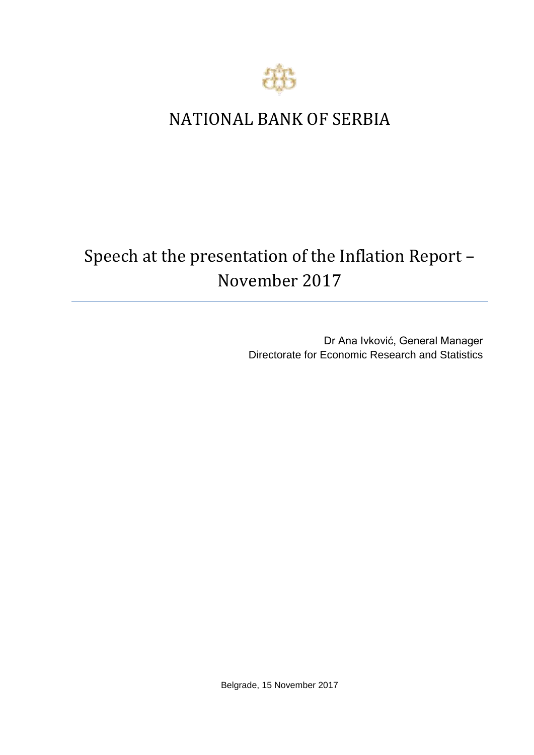

## NATIONAL BANK OF SERBIA

## Speech at the presentation of the Inflation Report – November 2017

Dr Ana Ivković, General Manager Directorate for Economic Research and Statistics

Belgrade, 15 November 2017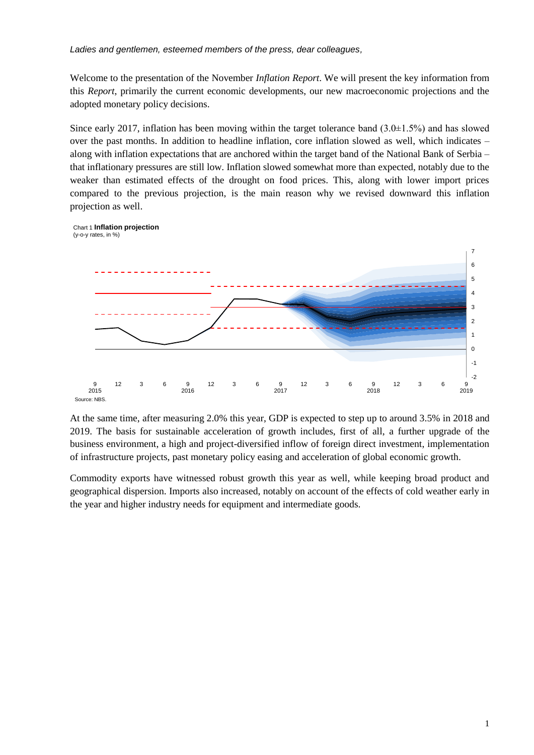*Ladies and gentlemen, esteemed members of the press, dear colleagues,*

Welcome to the presentation of the November *Inflation Report*. We will present the key information from this *Report*, primarily the current economic developments, our new macroeconomic projections and the adopted monetary policy decisions.

Since early 2017, inflation has been moving within the target tolerance band  $(3.0\pm 1.5\%)$  and has slowed over the past months. In addition to headline inflation, core inflation slowed as well, which indicates – along with inflation expectations that are anchored within the target band of the National Bank of Serbia – that inflationary pressures are still low. Inflation slowed somewhat more than expected, notably due to the weaker than estimated effects of the drought on food prices. This, along with lower import prices compared to the previous projection, is the main reason why we revised downward this inflation projection as well.



At the same time, after measuring 2.0% this year, GDP is expected to step up to around 3.5% in 2018 and 2019. The basis for sustainable acceleration of growth includes, first of all, a further upgrade of the business environment, a high and project-diversified inflow of foreign direct investment, implementation of infrastructure projects, past monetary policy easing and acceleration of global economic growth.

Commodity exports have witnessed robust growth this year as well, while keeping broad product and geographical dispersion. Imports also increased, notably on account of the effects of cold weather early in the year and higher industry needs for equipment and intermediate goods.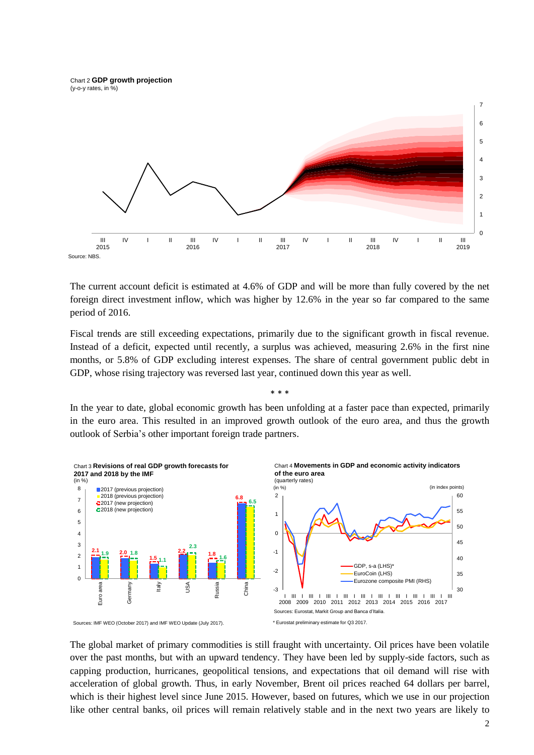Chart 2 **GDP growth projection**  (y-o-y rates, in %)



The current account deficit is estimated at 4.6% of GDP and will be more than fully covered by the net foreign direct investment inflow, which was higher by 12.6% in the year so far compared to the same period of 2016.

Fiscal trends are still exceeding expectations, primarily due to the significant growth in fiscal revenue. Instead of a deficit, expected until recently, a surplus was achieved, measuring 2.6% in the first nine months, or 5.8% of GDP excluding interest expenses. The share of central government public debt in GDP, whose rising trajectory was reversed last year, continued down this year as well.

\* \* \*

In the year to date, global economic growth has been unfolding at a faster pace than expected, primarily in the euro area. This resulted in an improved growth outlook of the euro area, and thus the growth outlook of Serbia's other important foreign trade partners.



Sources: IMF WEO (October 2017) and IMF WEO Update (July 2017).

The global market of primary commodities is still fraught with uncertainty. Oil prices have been volatile over the past months, but with an upward tendency. They have been led by supply-side factors, such as capping production, hurricanes, geopolitical tensions, and expectations that oil demand will rise with acceleration of global growth. Thus, in early November, Brent oil prices reached 64 dollars per barrel, which is their highest level since June 2015. However, based on futures, which we use in our projection like other central banks, oil prices will remain relatively stable and in the next two years are likely to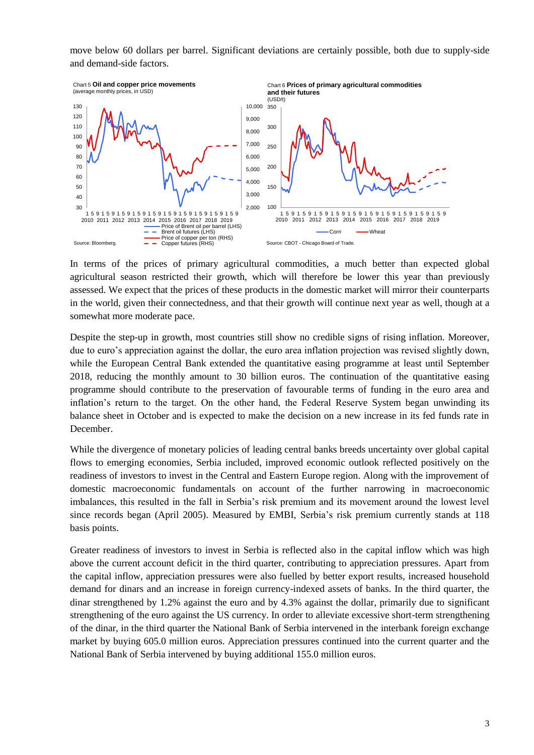move below 60 dollars per barrel. Significant deviations are certainly possible, both due to supply-side and demand-side factors.



In terms of the prices of primary agricultural commodities, a much better than expected global agricultural season restricted their growth, which will therefore be lower this year than previously assessed. We expect that the prices of these products in the domestic market will mirror their counterparts in the world, given their connectedness, and that their growth will continue next year as well, though at a somewhat more moderate pace.

Despite the step-up in growth, most countries still show no credible signs of rising inflation. Moreover, due to euro's appreciation against the dollar, the euro area inflation projection was revised slightly down, while the European Central Bank extended the quantitative easing programme at least until September 2018, reducing the monthly amount to 30 billion euros. The continuation of the quantitative easing programme should contribute to the preservation of favourable terms of funding in the euro area and inflation's return to the target. On the other hand, the Federal Reserve System began unwinding its balance sheet in October and is expected to make the decision on a new increase in its fed funds rate in December.

While the divergence of monetary policies of leading central banks breeds uncertainty over global capital flows to emerging economies, Serbia included, improved economic outlook reflected positively on the readiness of investors to invest in the Central and Eastern Europe region. Along with the improvement of domestic macroeconomic fundamentals on account of the further narrowing in macroeconomic imbalances, this resulted in the fall in Serbia's risk premium and its movement around the lowest level since records began (April 2005). Measured by EMBI, Serbia's risk premium currently stands at 118 basis points.

Greater readiness of investors to invest in Serbia is reflected also in the capital inflow which was high above the current account deficit in the third quarter, contributing to appreciation pressures. Apart from the capital inflow, appreciation pressures were also fuelled by better export results, increased household demand for dinars and an increase in foreign currency-indexed assets of banks. In the third quarter, the dinar strengthened by 1.2% against the euro and by 4.3% against the dollar, primarily due to significant strengthening of the euro against the US currency. In order to alleviate excessive short-term strengthening of the dinar, in the third quarter the National Bank of Serbia intervened in the interbank foreign exchange market by buying 605.0 million euros. Appreciation pressures continued into the current quarter and the National Bank of Serbia intervened by buying additional 155.0 million euros.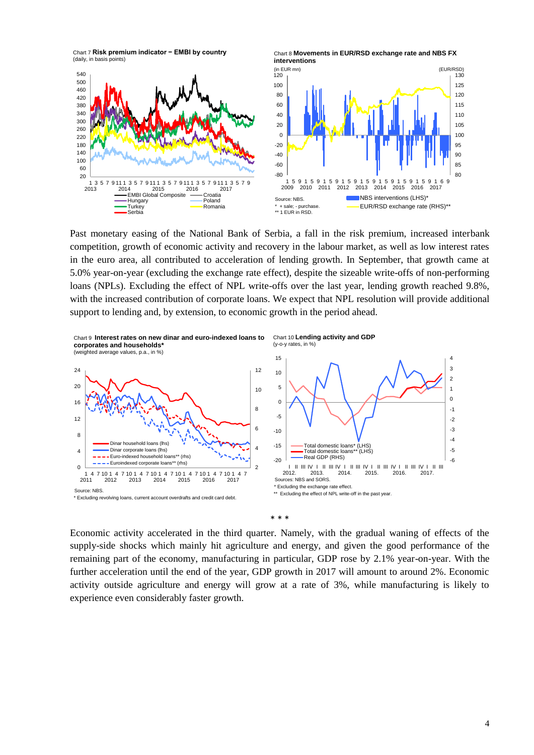Chart 7 **Risk premium indicator − EMBI by country**  (daily, in basis points)



Chart 8 **Movements in EUR/RSD exchange rate and NBS FX** 

Past monetary easing of the National Bank of Serbia, a fall in the risk premium, increased interbank competition, growth of economic activity and recovery in the labour market, as well as low interest rates in the euro area, all contributed to acceleration of lending growth. In September, that growth came at 5.0% year-on-year (excluding the exchange rate effect), despite the sizeable write-offs of non-performing loans (NPLs). Excluding the effect of NPL write-offs over the last year, lending growth reached 9.8%, with the increased contribution of corporate loans. We expect that NPL resolution will provide additional support to lending and, by extension, to economic growth in the period ahead.



\* \* \*

Economic activity accelerated in the third quarter. Namely, with the gradual waning of effects of the supply-side shocks which mainly hit agriculture and energy, and given the good performance of the remaining part of the economy, manufacturing in particular, GDP rose by 2.1% year-on-year. With the further acceleration until the end of the year, GDP growth in 2017 will amount to around 2%. Economic activity outside agriculture and energy will grow at a rate of 3%, while manufacturing is likely to experience even considerably faster growth.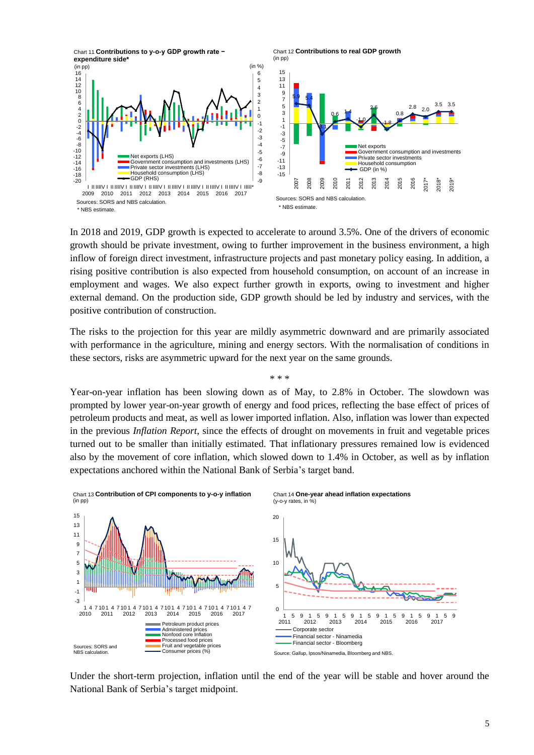

In 2018 and 2019, GDP growth is expected to accelerate to around 3.5%. One of the drivers of economic growth should be private investment, owing to further improvement in the business environment, a high inflow of foreign direct investment, infrastructure projects and past monetary policy easing. In addition, a rising positive contribution is also expected from household consumption, on account of an increase in employment and wages. We also expect further growth in exports, owing to investment and higher external demand. On the production side, GDP growth should be led by industry and services, with the positive contribution of construction.

The risks to the projection for this year are mildly asymmetric downward and are primarily associated with performance in the agriculture, mining and energy sectors. With the normalisation of conditions in these sectors, risks are asymmetric upward for the next year on the same grounds.

\* \* \*

Year-on-year inflation has been slowing down as of May, to 2.8% in October. The slowdown was prompted by lower year-on-year growth of energy and food prices, reflecting the base effect of prices of petroleum products and meat, as well as lower imported inflation. Also, inflation was lower than expected in the previous *Inflation Report*, since the effects of drought on movements in fruit and vegetable prices turned out to be smaller than initially estimated. That inflationary pressures remained low is evidenced also by the movement of core inflation, which slowed down to 1.4% in October, as well as by inflation expectations anchored within the National Bank of Serbia's target band.



Under the short-term projection, inflation until the end of the year will be stable and hover around the National Bank of Serbia's target midpoint.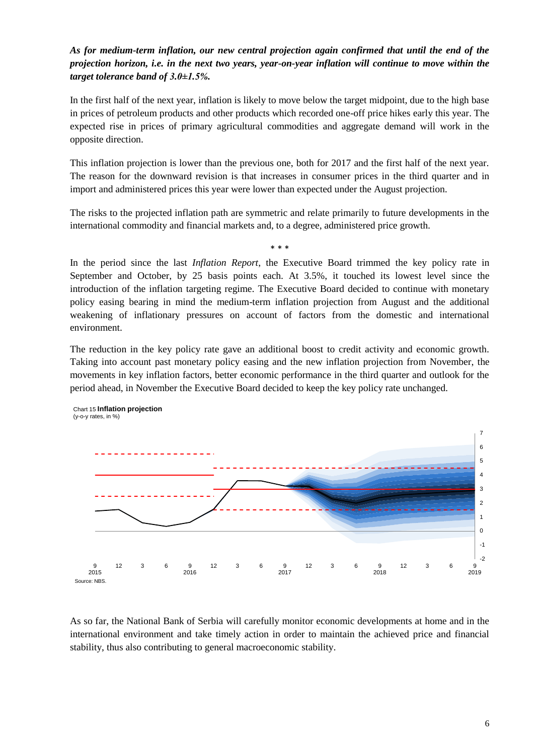## *As for medium-term inflation, our new central projection again confirmed that until the end of the projection horizon, i.e. in the next two years, year-on-year inflation will continue to move within the target tolerance band of 3.0±1.5%.*

In the first half of the next year, inflation is likely to move below the target midpoint, due to the high base in prices of petroleum products and other products which recorded one-off price hikes early this year. The expected rise in prices of primary agricultural commodities and aggregate demand will work in the opposite direction.

This inflation projection is lower than the previous one, both for 2017 and the first half of the next year. The reason for the downward revision is that increases in consumer prices in the third quarter and in import and administered prices this year were lower than expected under the August projection.

The risks to the projected inflation path are symmetric and relate primarily to future developments in the international commodity and financial markets and, to a degree, administered price growth.

\* \* \*

In the period since the last *Inflation Report*, the Executive Board trimmed the key policy rate in September and October, by 25 basis points each. At 3.5%, it touched its lowest level since the introduction of the inflation targeting regime. The Executive Board decided to continue with monetary policy easing bearing in mind the medium-term inflation projection from August and the additional weakening of inflationary pressures on account of factors from the domestic and international environment.

The reduction in the key policy rate gave an additional boost to credit activity and economic growth. Taking into account past monetary policy easing and the new inflation projection from November, the movements in key inflation factors, better economic performance in the third quarter and outlook for the period ahead, in November the Executive Board decided to keep the key policy rate unchanged.



Chart 15 **Inflation projection** (y-o-y rates, in %)

As so far, the National Bank of Serbia will carefully monitor economic developments at home and in the international environment and take timely action in order to maintain the achieved price and financial stability, thus also contributing to general macroeconomic stability.